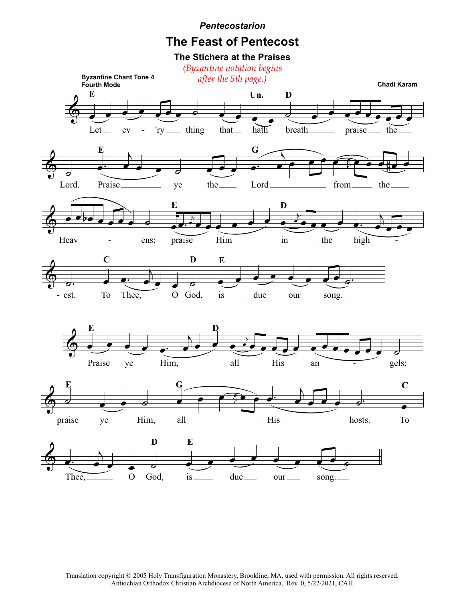## *Pentecostarion*

## **The Feast of Pentecost**





Translation copyright © 2005 Holy Transfiguration Monastery, Brookline, MA, used with permission. All rights reserved. Antiochian Orthodox Christian Archdiocese of North America, Rev. 0, 5/22/2021, CAH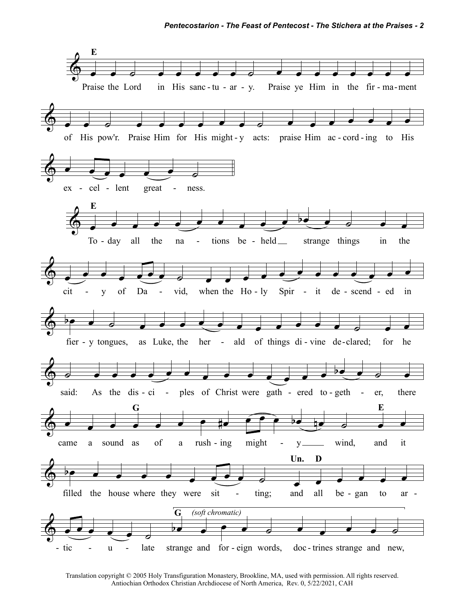

Translation copyright © 2005 Holy Transfiguration Monastery, Brookline, MA, used with permission. All rights reserved. Antiochian Orthodox Christian Archdiocese of North America, Rev. 0, 5/22/2021, CAH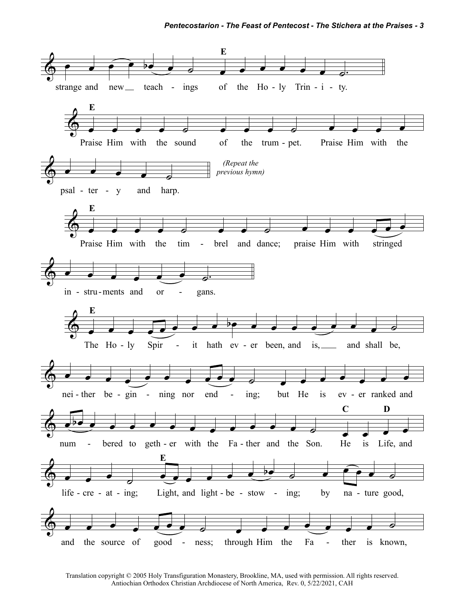

Translation copyright © 2005 Holy Transfiguration Monastery, Brookline, MA, used with permission. All rights reserved. Antiochian Orthodox Christian Archdiocese of North America, Rev. 0, 5/22/2021, CAH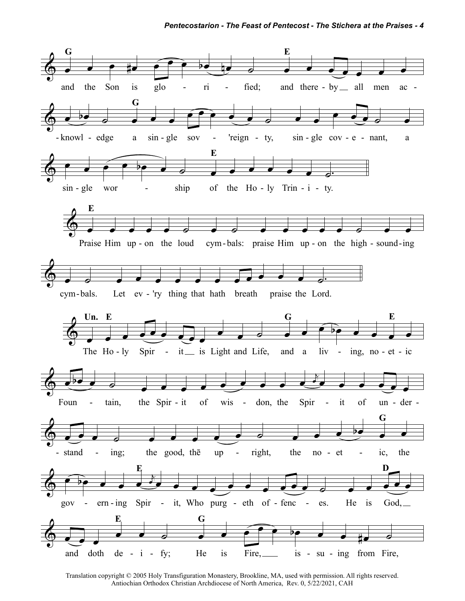

Translation copyright © 2005 Holy Transfiguration Monastery, Brookline, MA, used with permission. All rights reserved. Antiochian Orthodox Christian Archdiocese of North America, Rev. 0, 5/22/2021, CAH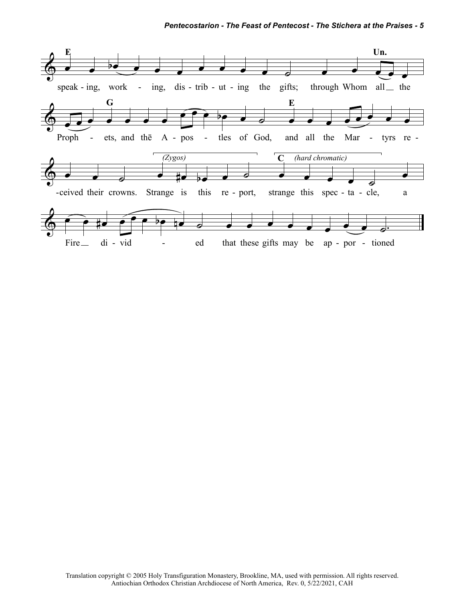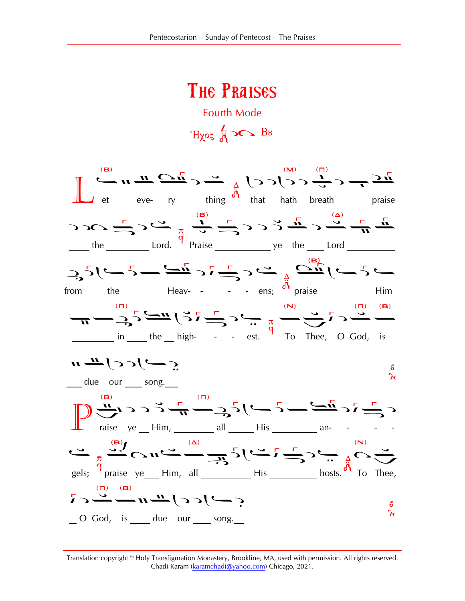## The Praises Fourth Mode

 $H_{\chi}$   $\sim$   $\frac{L}{A}$   $\sim$  Bs

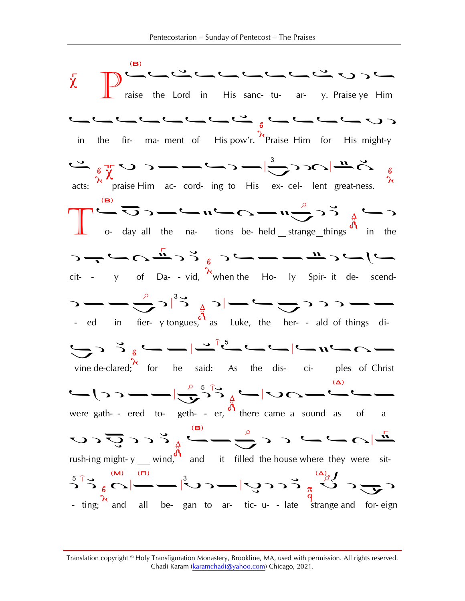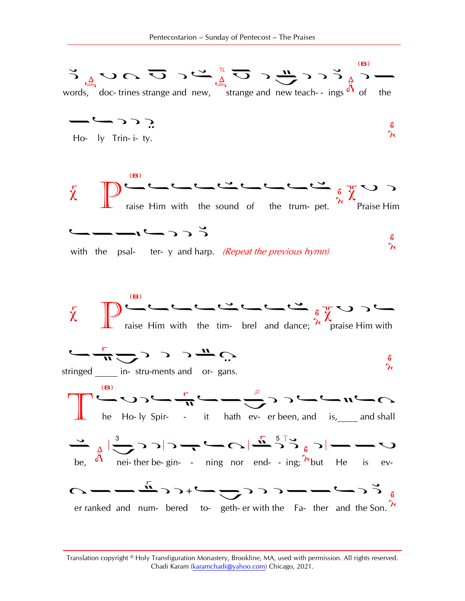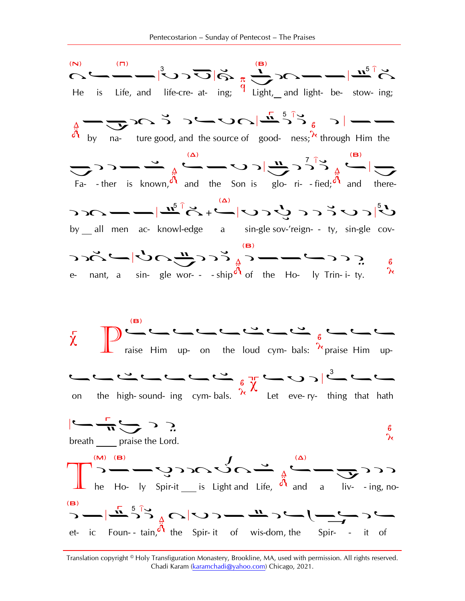